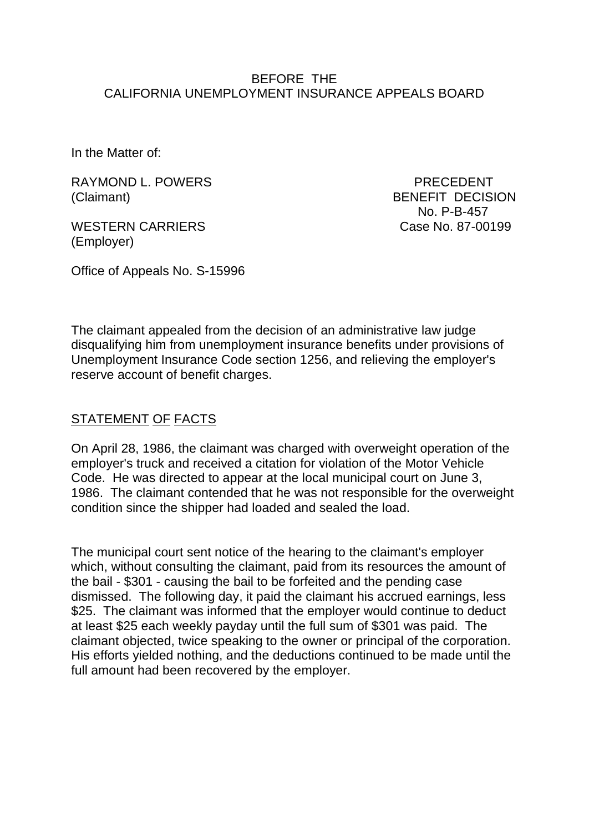### BEFORE THE CALIFORNIA UNEMPLOYMENT INSURANCE APPEALS BOARD

In the Matter of:

RAYMOND L. POWERS PRECEDENT (Claimant) BENEFIT DECISION

WESTERN CARRIERS Case No. 87-00199 (Employer)

No. P-B-457

Office of Appeals No. S-15996

The claimant appealed from the decision of an administrative law judge disqualifying him from unemployment insurance benefits under provisions of Unemployment Insurance Code section 1256, and relieving the employer's reserve account of benefit charges.

# STATEMENT OF FACTS

On April 28, 1986, the claimant was charged with overweight operation of the employer's truck and received a citation for violation of the Motor Vehicle Code. He was directed to appear at the local municipal court on June 3, 1986. The claimant contended that he was not responsible for the overweight condition since the shipper had loaded and sealed the load.

The municipal court sent notice of the hearing to the claimant's employer which, without consulting the claimant, paid from its resources the amount of the bail - \$301 - causing the bail to be forfeited and the pending case dismissed. The following day, it paid the claimant his accrued earnings, less \$25. The claimant was informed that the employer would continue to deduct at least \$25 each weekly payday until the full sum of \$301 was paid. The claimant objected, twice speaking to the owner or principal of the corporation. His efforts yielded nothing, and the deductions continued to be made until the full amount had been recovered by the employer.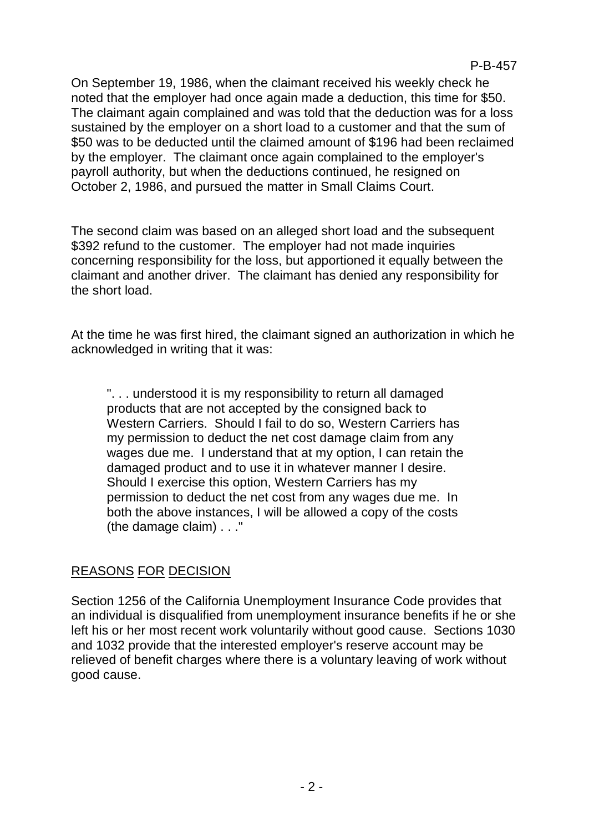On September 19, 1986, when the claimant received his weekly check he noted that the employer had once again made a deduction, this time for \$50. The claimant again complained and was told that the deduction was for a loss sustained by the employer on a short load to a customer and that the sum of \$50 was to be deducted until the claimed amount of \$196 had been reclaimed by the employer. The claimant once again complained to the employer's payroll authority, but when the deductions continued, he resigned on October 2, 1986, and pursued the matter in Small Claims Court.

The second claim was based on an alleged short load and the subsequent \$392 refund to the customer. The employer had not made inquiries concerning responsibility for the loss, but apportioned it equally between the claimant and another driver. The claimant has denied any responsibility for the short load.

At the time he was first hired, the claimant signed an authorization in which he acknowledged in writing that it was:

". . . understood it is my responsibility to return all damaged products that are not accepted by the consigned back to Western Carriers. Should I fail to do so, Western Carriers has my permission to deduct the net cost damage claim from any wages due me. I understand that at my option, I can retain the damaged product and to use it in whatever manner I desire. Should I exercise this option, Western Carriers has my permission to deduct the net cost from any wages due me. In both the above instances, I will be allowed a copy of the costs (the damage claim) . . ."

# REASONS FOR DECISION

Section 1256 of the California Unemployment Insurance Code provides that an individual is disqualified from unemployment insurance benefits if he or she left his or her most recent work voluntarily without good cause. Sections 1030 and 1032 provide that the interested employer's reserve account may be relieved of benefit charges where there is a voluntary leaving of work without good cause.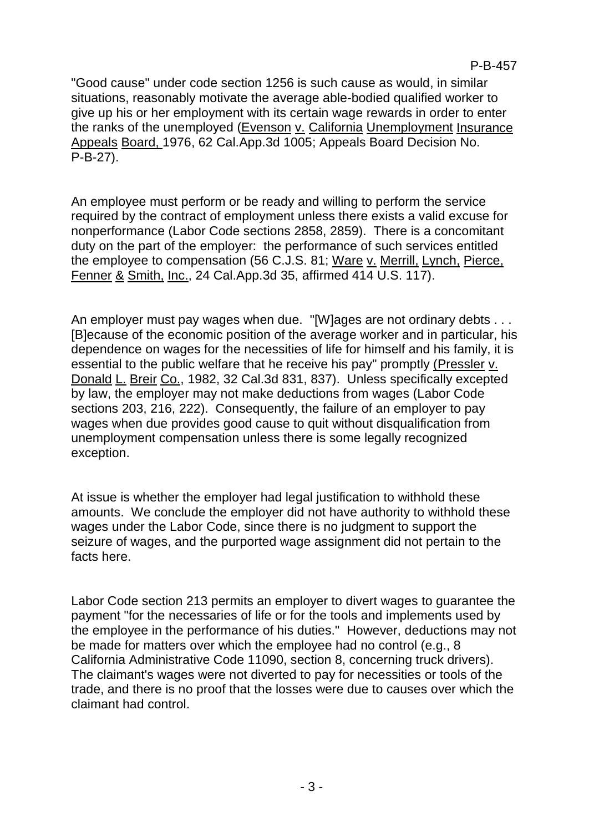"Good cause" under code section 1256 is such cause as would, in similar situations, reasonably motivate the average able-bodied qualified worker to give up his or her employment with its certain wage rewards in order to enter the ranks of the unemployed (Evenson v. California Unemployment Insurance Appeals Board, 1976, 62 Cal.App.3d 1005; Appeals Board Decision No. P-B-27).

An employee must perform or be ready and willing to perform the service required by the contract of employment unless there exists a valid excuse for nonperformance (Labor Code sections 2858, 2859). There is a concomitant duty on the part of the employer: the performance of such services entitled the employee to compensation (56 C.J.S. 81; Ware v. Merrill, Lynch, Pierce, Fenner & Smith, Inc., 24 Cal.App.3d 35, affirmed 414 U.S. 117).

An employer must pay wages when due. "[W]ages are not ordinary debts . . . [B]ecause of the economic position of the average worker and in particular, his dependence on wages for the necessities of life for himself and his family, it is essential to the public welfare that he receive his pay" promptly (Pressler v. Donald L. Breir Co., 1982, 32 Cal.3d 831, 837). Unless specifically excepted by law, the employer may not make deductions from wages (Labor Code sections 203, 216, 222). Consequently, the failure of an employer to pay wages when due provides good cause to quit without disqualification from unemployment compensation unless there is some legally recognized exception.

At issue is whether the employer had legal justification to withhold these amounts. We conclude the employer did not have authority to withhold these wages under the Labor Code, since there is no judgment to support the seizure of wages, and the purported wage assignment did not pertain to the facts here.

Labor Code section 213 permits an employer to divert wages to guarantee the payment "for the necessaries of life or for the tools and implements used by the employee in the performance of his duties." However, deductions may not be made for matters over which the employee had no control (e.g., 8 California Administrative Code 11090, section 8, concerning truck drivers). The claimant's wages were not diverted to pay for necessities or tools of the trade, and there is no proof that the losses were due to causes over which the claimant had control.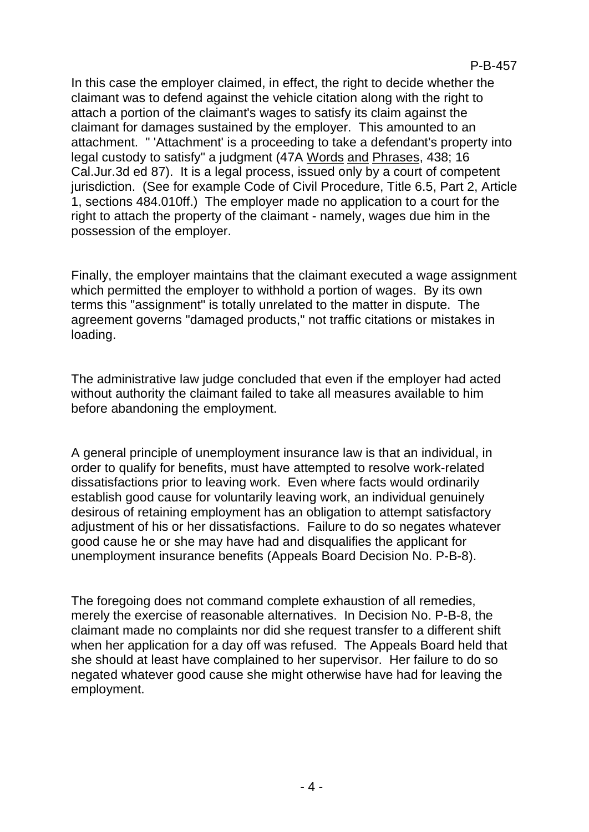In this case the employer claimed, in effect, the right to decide whether the claimant was to defend against the vehicle citation along with the right to attach a portion of the claimant's wages to satisfy its claim against the claimant for damages sustained by the employer. This amounted to an attachment. " 'Attachment' is a proceeding to take a defendant's property into legal custody to satisfy" a judgment (47A Words and Phrases, 438; 16 Cal.Jur.3d ed 87). It is a legal process, issued only by a court of competent jurisdiction. (See for example Code of Civil Procedure, Title 6.5, Part 2, Article 1, sections 484.010ff.) The employer made no application to a court for the right to attach the property of the claimant - namely, wages due him in the possession of the employer.

Finally, the employer maintains that the claimant executed a wage assignment which permitted the employer to withhold a portion of wages. By its own terms this "assignment" is totally unrelated to the matter in dispute. The agreement governs "damaged products," not traffic citations or mistakes in loading.

The administrative law judge concluded that even if the employer had acted without authority the claimant failed to take all measures available to him before abandoning the employment.

A general principle of unemployment insurance law is that an individual, in order to qualify for benefits, must have attempted to resolve work-related dissatisfactions prior to leaving work. Even where facts would ordinarily establish good cause for voluntarily leaving work, an individual genuinely desirous of retaining employment has an obligation to attempt satisfactory adjustment of his or her dissatisfactions. Failure to do so negates whatever good cause he or she may have had and disqualifies the applicant for unemployment insurance benefits (Appeals Board Decision No. P-B-8).

The foregoing does not command complete exhaustion of all remedies, merely the exercise of reasonable alternatives. In Decision No. P-B-8, the claimant made no complaints nor did she request transfer to a different shift when her application for a day off was refused. The Appeals Board held that she should at least have complained to her supervisor. Her failure to do so negated whatever good cause she might otherwise have had for leaving the employment.